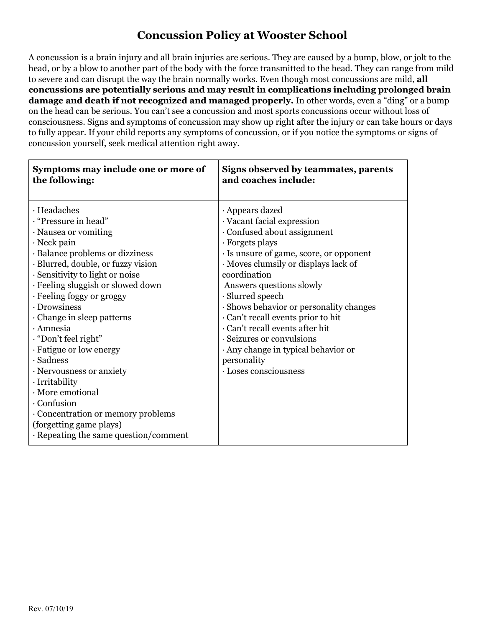## **Concussion Policy at Wooster School**

A concussion is a brain injury and all brain injuries are serious. They are caused by a bump, blow, or jolt to the head, or by a blow to another part of the body with the force transmitted to the head. They can range from mild to severe and can disrupt the way the brain normally works. Even though most concussions are mild, **all concussions are potentially serious and may result in complications including prolonged brain damage and death if not recognized and managed properly.** In other words, even a "ding" or a bump on the head can be serious. You can't see a concussion and most sports concussions occur without loss of consciousness. Signs and symptoms of concussion may show up right after the injury or can take hours or days to fully appear. If your child reports any symptoms of concussion, or if you notice the symptoms or signs of concussion yourself, seek medical attention right away.

| Symptoms may include one or more of                                                                                                                                                                                                                                                                                                                                                                                                                                                                                                                                                          | Signs observed by teammates, parents                                                                                                                                                                                                                                                                                                                                                                                                                                             |
|----------------------------------------------------------------------------------------------------------------------------------------------------------------------------------------------------------------------------------------------------------------------------------------------------------------------------------------------------------------------------------------------------------------------------------------------------------------------------------------------------------------------------------------------------------------------------------------------|----------------------------------------------------------------------------------------------------------------------------------------------------------------------------------------------------------------------------------------------------------------------------------------------------------------------------------------------------------------------------------------------------------------------------------------------------------------------------------|
| the following:                                                                                                                                                                                                                                                                                                                                                                                                                                                                                                                                                                               | and coaches include:                                                                                                                                                                                                                                                                                                                                                                                                                                                             |
| · Headaches<br>. "Pressure in head"<br>· Nausea or vomiting<br>$\cdot$ Neck pain<br>· Balance problems or dizziness<br>· Blurred, double, or fuzzy vision<br>· Sensitivity to light or noise<br>· Feeling sluggish or slowed down<br>· Feeling foggy or groggy<br>· Drowsiness<br>Change in sleep patterns<br>$\cdot$ Amnesia<br>. "Don't feel right"<br>· Fatigue or low energy<br>$\cdot$ Sadness<br>· Nervousness or anxiety<br>· Irritability<br>· More emotional<br>· Confusion<br>Concentration or memory problems<br>(forgetting game plays)<br>· Repeating the same question/comment | · Appears dazed<br>· Vacant facial expression<br>Confused about assignment<br>· Forgets plays<br>· Is unsure of game, score, or opponent<br>Moves clumsily or displays lack of<br>coordination<br>Answers questions slowly<br>$\cdot$ Slurred speech<br>· Shows behavior or personality changes<br>Can't recall events prior to hit<br>· Can't recall events after hit<br>· Seizures or convulsions<br>Any change in typical behavior or<br>personality<br>· Loses consciousness |